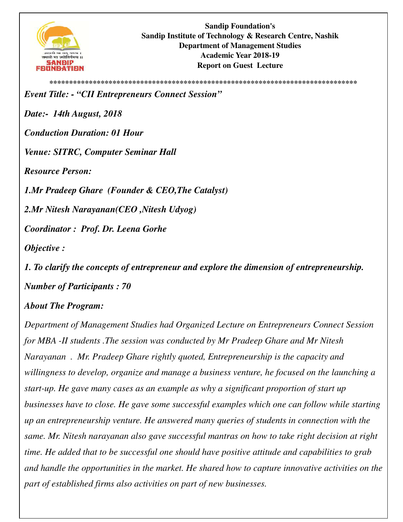

**\*\*\*\*\*\*\*\*\*\*\*\*\*\*\*\*\*\*\*\*\*\*\*\*\*\*\*\*\*\*\*\*\*\*\*\*\*\*\*\*\*\*\*\*\*\*\*\*\*\*\*\*\*\*\*\*\*\*\*\*\*\*\*\*\*\*\*\*\*\*\*\*\*\*\*\*\*\*** *Event Title: - "CII Entrepreneurs Connect Session" Date:- 14th August, 2018 Conduction Duration: 01 Hour Venue: SITRC, Computer Seminar Hall Resource Person: 1.Mr Pradeep Ghare (Founder & CEO,The Catalyst) 2.Mr Nitesh Narayanan(CEO ,Nitesh Udyog) Coordinator : Prof. Dr. Leena Gorhe Objective :* 

*1. To clarify the concepts of entrepreneur and explore the dimension of entrepreneurship. Number of Participants : 70* 

## *About The Program:*

*Department of Management Studies had Organized Lecture on Entrepreneurs Connect Session for MBA -II students .The session was conducted by Mr Pradeep Ghare and Mr Nitesh Narayanan . Mr. Pradeep Ghare rightly quoted, Entrepreneurship is the capacity and willingness to develop, organize and manage a business venture, he focused on the launching a start-up. He gave many cases as an example as why a significant proportion of start up businesses have to close. He gave some successful examples which one can follow while starting up an entrepreneurship venture. He answered many queries of students in connection with the same. Mr. Nitesh narayanan also gave successful mantras on how to take right decision at right time. He added that to be successful one should have positive attitude and capabilities to grab and handle the opportunities in the market. He shared how to capture innovative activities on the part of established firms also activities on part of new businesses.*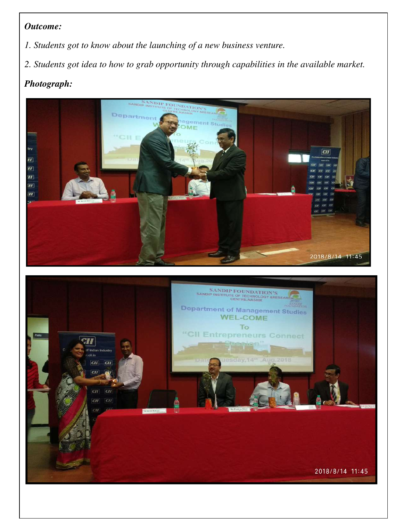## *Outcome:*

- *1. Students got to know about the launching of a new business venture.*
- *2. Students got idea to how to grab opportunity through capabilities in the available market.*

## *Photograph:*



2018/8/14 11:45